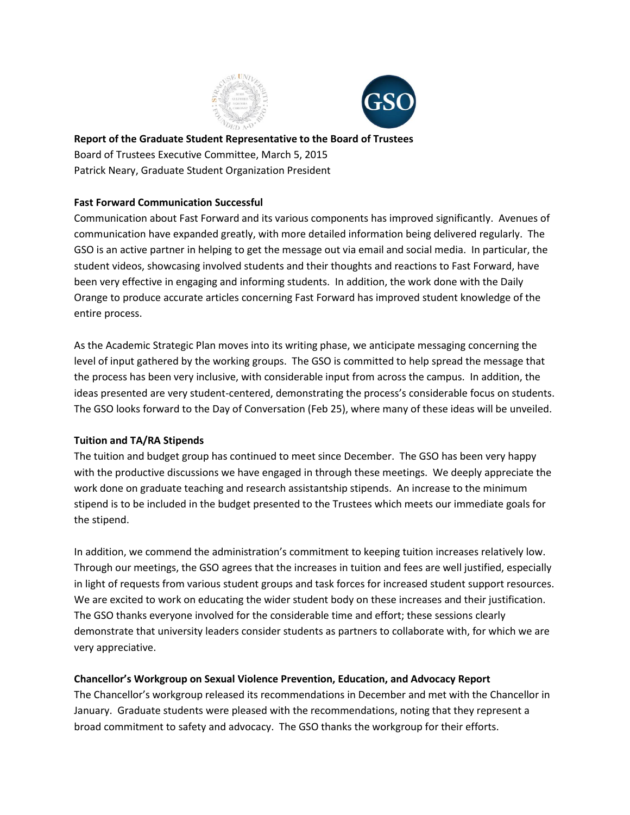



**Report of the Graduate Student Representative to the Board of Trustees** Board of Trustees Executive Committee, March 5, 2015 Patrick Neary, Graduate Student Organization President

## **Fast Forward Communication Successful**

Communication about Fast Forward and its various components has improved significantly. Avenues of communication have expanded greatly, with more detailed information being delivered regularly. The GSO is an active partner in helping to get the message out via email and social media. In particular, the student videos, showcasing involved students and their thoughts and reactions to Fast Forward, have been very effective in engaging and informing students. In addition, the work done with the Daily Orange to produce accurate articles concerning Fast Forward has improved student knowledge of the entire process.

As the Academic Strategic Plan moves into its writing phase, we anticipate messaging concerning the level of input gathered by the working groups. The GSO is committed to help spread the message that the process has been very inclusive, with considerable input from across the campus. In addition, the ideas presented are very student-centered, demonstrating the process's considerable focus on students. The GSO looks forward to the Day of Conversation (Feb 25), where many of these ideas will be unveiled.

## **Tuition and TA/RA Stipends**

The tuition and budget group has continued to meet since December. The GSO has been very happy with the productive discussions we have engaged in through these meetings. We deeply appreciate the work done on graduate teaching and research assistantship stipends. An increase to the minimum stipend is to be included in the budget presented to the Trustees which meets our immediate goals for the stipend.

In addition, we commend the administration's commitment to keeping tuition increases relatively low. Through our meetings, the GSO agrees that the increases in tuition and fees are well justified, especially in light of requests from various student groups and task forces for increased student support resources. We are excited to work on educating the wider student body on these increases and their justification. The GSO thanks everyone involved for the considerable time and effort; these sessions clearly demonstrate that university leaders consider students as partners to collaborate with, for which we are very appreciative.

## **Chancellor's Workgroup on Sexual Violence Prevention, Education, and Advocacy Report**

The Chancellor's workgroup released its recommendations in December and met with the Chancellor in January. Graduate students were pleased with the recommendations, noting that they represent a broad commitment to safety and advocacy. The GSO thanks the workgroup for their efforts.